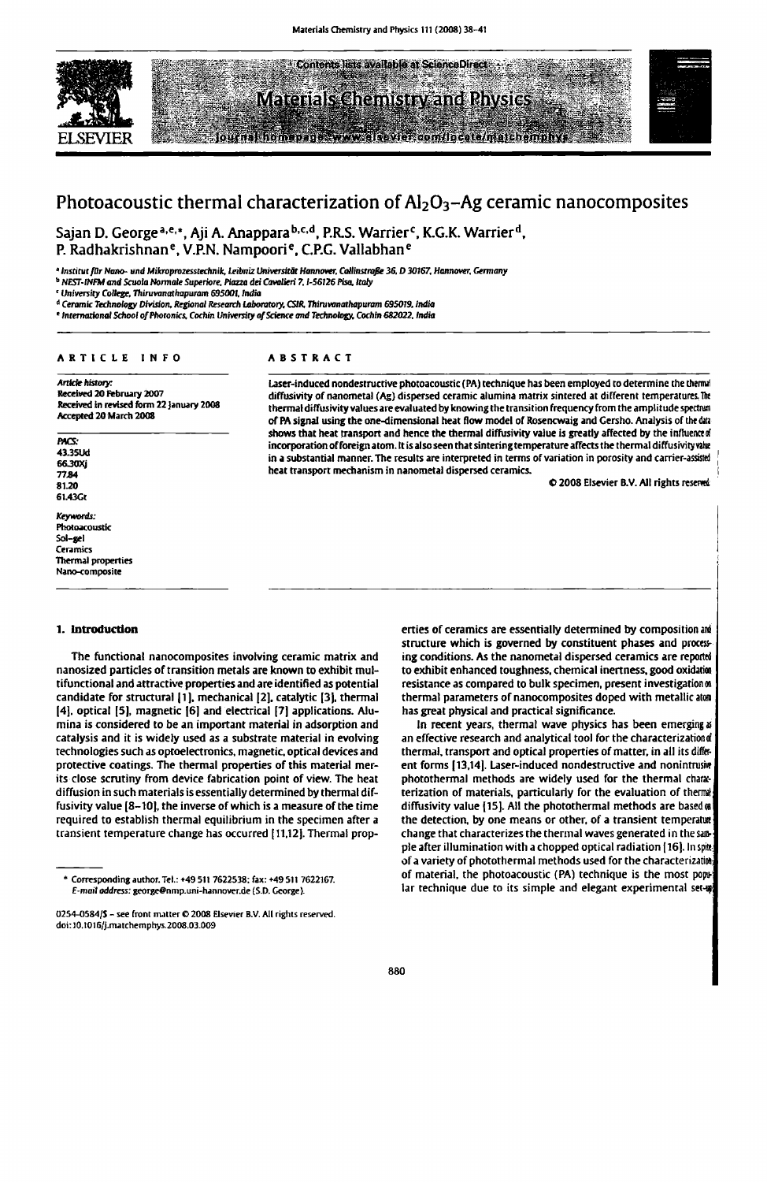Contents lists available at ScienceDirect

carl homeore, www.elsexier.com/locate/matchemphys



# Materials Chemistry and Physics

### Photoacoustic thermal characterization of  $Al_2O_3-Ag$  ceramic nanocomposites

Sajan D. George<sup>a, e, \*</sup>, Aji A. Anappara<sup>b, c, d</sup>, P.R.S. Warrier<sup>c</sup>, K.G.K. Warrier<sup>d</sup>, P. Radhakrishnan<sup>e</sup>, V.P.N. Nampoori<sup>e</sup>, C.P.G. Vallabhan<sup>e</sup>

<sup>a</sup> Institut für Nano- und Mikroprozesstechnik, Leibniz Universität Hannover, Callinstraße 36, D 30167, Hannover, Germany

<sup>b</sup> NEST-INFM and Scuola Normale Superiore, Piazza dei Cavalieri 7, I-56126 Pisa, Italy

University College, Thiruyanathapuram 695001, India

<sup>d</sup> Ceramic Technology Division, Regional Research Laboratory, CSIR, Thiruvanathapuram 695019, India

\* International School of Photonics, Cochin University of Science and Technology, Cochin 682022, India

### ARTICLE INFO

Article history Received 20 February 2007 Received in revised form 22 January 2008 Accepted 20 March 2008

**PACS:** 43.35Ud 66.30Xj 77.84 81.20 61.43Gt

Keywords: Photoacoustic Sol-gel Ceramics **Thermal properties** Nano-composite

### 1. Introduction

The functional nanocomposites involving ceramic matrix and nanosized particles of transition metals are known to exhibit multifunctional and attractive properties and are identified as potential candidate for structural [1], mechanical [2], catalytic [3], thermal [4], optical [5], magnetic [6] and electrical [7] applications. Alumina is considered to be an important material in adsorption and catalysis and it is widely used as a substrate material in evolving technologies such as optoelectronics, magnetic, optical devices and protective coatings. The thermal properties of this material merits close scrutiny from device fabrication point of view. The heat diffusion in such materials is essentially determined by thermal diffusivity value [8-10], the inverse of which is a measure of the time required to establish thermal equilibrium in the specimen after a transient temperature change has occurred [11,12]. Thermal prop-

### **ABSTRACT**

Laser-induced nondestructive photoacoustic (PA) technique has been employed to determine the themal diffusivity of nanometal (Ag) dispersed ceramic alumina matrix sintered at different temperatures. The thermal diffusivity values are evaluated by knowing the transition frequency from the amplitude spectrum of PA signal using the one-dimensional heat flow model of Rosencwaig and Gersho. Analysis of the data shows that heat transport and hence the thermal diffusivity value is greatly affected by the influenced incorporation of foreign atom. It is also seen that sintering temperature affects the thermal diffusivity value in a substantial manner. The results are interpreted in terms of variation in porosity and carrier-assistd heat transport mechanism in nanometal dispersed ceramics.

© 2008 Elsevier B.V. All rights reserved

erties of ceramics are essentially determined by composition and structure which is governed by constituent phases and procesing conditions. As the nanometal dispersed ceramics are reported to exhibit enhanced toughness, chemical inertness, good oxidation resistance as compared to bulk specimen, present investigation on thermal parameters of nanocomposites doped with metallic aton has great physical and practical significance.

In recent years, thermal wave physics has been emerging a an effective research and analytical tool for the characterization of thermal, transport and optical properties of matter, in all its diffeent forms [13,14]. Laser-induced nondestructive and nonintrusive photothermal methods are widely used for the thermal charaterization of materials, particularly for the evaluation of thermi diffusivity value [15]. All the photothermal methods are based a the detection, by one means or other, of a transient temperature change that characterizes the thermal waves generated in the sanple after illumination with a chopped optical radiation [16]. In spitof a variety of photothermal methods used for the characterization of material, the photoacoustic (PA) technique is the most poplar technique due to its simple and elegant experimental set-

<sup>\*</sup> Corresponding author. Tel.: +49 511 7622538; fax: +49 511 7622167. E-mail address: george@nmp.uni-hannover.de (S.D. George).

<sup>0254-0584/\$ -</sup> see front matter @ 2008 Elsevier B.V. All rights reserved. doi:10.1016/j.matchemphys.2008.03.009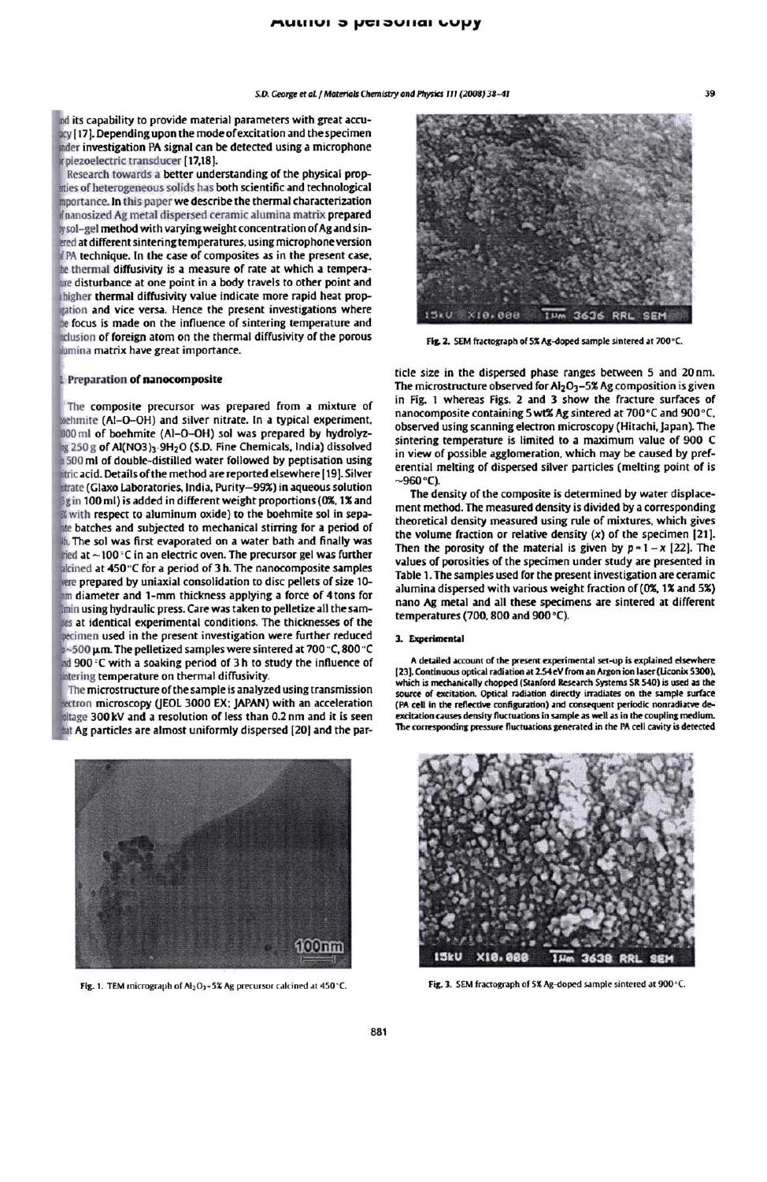ind its capability to provide material parameters with great accucy [17]. Depending upon the mode of excitation and the specimen inder investigation PA signal can be detected using a microphone *x* piezoelectric transducer [17,18].

Research towards a better understanding of the physical propsties of heterogeneous solids has both scientific and technological mportance. In this paper we describe the thermal characterization fnanosized Ag metal dispersed ceramic alumina matrix prepared ysol-gel method with varying weight concentration of Ag and sinered at different sintering temperatures, using microphone version TPA technique. In the case of composites as in the present case, the thermal diffusivity is a measure of rate at which a temperawe disturbance at one point in a body travels to other point and higher thermal diffusivity value indicate more rapid heat propgation and vice versa. Hence the present investigations where e focus is made on the influence of sintering temperature and aclusion of foreign atom on the thermal diffusivity of the porous lumina matrix have great importance.

### Preparation of nanocomposite

The composite precursor was prepared from a mixture of lehmite (Al-O-OH) and silver nitrate. In a typical experiment, 000 ml of boehmite (Al-O-OH) sol was prepared by hydrolyzg 250 g of Al(NO3)3-9H<sub>2</sub>O (S.D. Fine Chemicals, India) dissolved 1500 ml of double-distilled water followed by peptisation using litric acid. Details of the method are reported elsewhere [19]. Silver litrate (Glaxo Laboratories, India, Purity-99%) in aqueous solution 5g in 100 ml) is added in different weight proportions (0%, 1% and with respect to aluminum oxide) to the boehmite sol in sepaate batches and subjected to mechanical stirring for a period of th. The sol was first evaporated on a water bath and finally was fried at  $\sim$ 100 °C in an electric oven. The precursor gel was further alcined at 450 °C for a period of 3 h. The nanocomposite samples vere prepared by uniaxial consolidation to disc pellets of size 10im diameter and 1-mm thickness applying a force of 4 tons for Imin using hydraulic press. Care was taken to pelletize all the samles at identical experimental conditions. The thicknesses of the pecimen used in the present investigation were further reduced  $\approx$  500  $\mu$ m. The pelletized samples were sintered at 700 °C, 800 °C ad 900 °C with a soaking period of 3h to study the influence of intering temperature on thermal diffusivity.

The microstructure of the sample is analyzed using transmission ectron microscopy (JEOL 3000 EX; JAPAN) with an acceleration oltage 300 kV and a resolution of less than 0.2 nm and it is seen hat Ag particles are almost uniformly dispersed [20] and the par-



Fig. 1. TEM micrograph of Al2O3-5% Ag precursor calcined at 450°C.



Fig. 2. SEM fractograph of 5% Ag-doped sample sintered at 700°C.

ticle size in the dispersed phase ranges between 5 and 20nm. The microstructure observed for Al<sub>2</sub>O<sub>3</sub>-5% Ag composition is given in Fig. 1 whereas Figs. 2 and 3 show the fracture surfaces of nanocomposite containing 5 wt% Ag sintered at 700 °C and 900 °C, observed using scanning electron microscopy (Hitachi, Japan). The sintering temperature is limited to a maximum value of 900 C in view of possible agglomeration, which may be caused by preferential melting of dispersed silver particles (melting point of is  $~100^{\circ}$ C).

The density of the composite is determined by water displacement method. The measured density is divided by a corresponding theoretical density measured using rule of mixtures, which gives the volume fraction or relative density  $(x)$  of the specimen [21]. Then the porosity of the material is given by  $p = 1 - x$  [22]. The values of porosities of the specimen under study are presented in Table 1. The samples used for the present investigation are ceramic alumina dispersed with various weight fraction of (0%, 1% and 5%) nano Ag metal and all these specimens are sintered at different temperatures (700, 800 and 900 °C).

### 3. Experimental

A detailed account of the present experimental set-up is explained elsewhere [23]. Continuous optical radiation at 2.54 eV from an Argon ion laser (Liconix 5300). which is mechanically chopped (Stanford Research Systems SR 540) is used as the source of excitation. Optical radiation directly irradiates on the sample surface (PA cell in the reflective configuration) and consequent periodic nonradiatve deexcitation causes density fluctuations in sample as well as in the coupling medium. The corresponding pressure fluctuations generated in the PA cell cavity is detected



Fig. 3. SEM fractograph of 5% Ag-doped sample sintered at 900°C.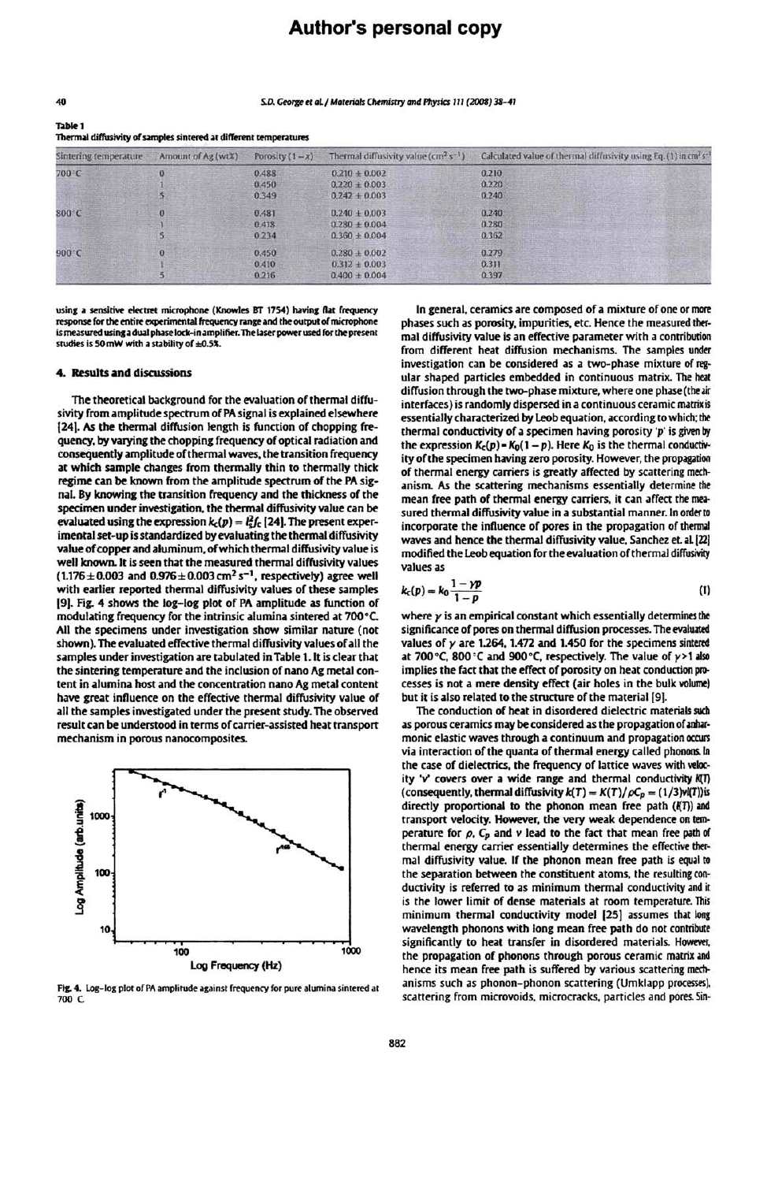## **Author's personal copy**

#### S.D. George et al. / Materials Chemistry and Physics 111 (2008) 38-41

### 40 **Table 1**

Thermal diffusivity of samples sintered at different temperatures

| Sintering temperature. | Amount of Ag (wt%) | Porosity $(1 - x)$ | Thermal diffusivity value (cm <sup>2</sup> s <sup>-1</sup> ) | Calculated value of thermal diffusivity using Eq. (1) in cm <sup>2</sup> 5 <sup>-1</sup> |
|------------------------|--------------------|--------------------|--------------------------------------------------------------|------------------------------------------------------------------------------------------|
| 700 C                  | o                  | 0.488              | $0.210 + 0.002$                                              | 0.210                                                                                    |
|                        |                    | 0.450              | $0.220 \pm 0.003$                                            | 0.220                                                                                    |
|                        |                    | 0.349              | $0.242 \pm 0.003$                                            | 0.240                                                                                    |
| 800 C                  | $\mathbf{0}$       | 0.481              | $0.240 \pm 0.003$                                            | 0.240                                                                                    |
|                        |                    | 0.418              | $0.280 + 0.004$                                              | 0.280                                                                                    |
|                        | S.                 | 0.234              | $0.360 \pm 0.004$                                            | 0.362                                                                                    |
| 900 C                  | $\mathbf{a}$       | 0.450              | $0.280 + 0.002$                                              | 0.279                                                                                    |
|                        |                    | 0.410              | $0.312 \pm 0.003$                                            | 0.311                                                                                    |
|                        |                    | 0.216              | $0.400 \pm 0.004$                                            | 0.397                                                                                    |

using a sensitive electret microphone (Knowles BT 1754) having flat frequency response for the entire experimental frequency range and the output of microphone is measured using a dual phase lock-in amplifier. The laser power used for the present studies is 50 mW with a stability of ±0.5%.

#### 4. Results and discussions

The theoretical background for the evaluation of thermal diffusivity from amplitude spectrum of PA signal is explained elsewhere [24]. As the thermal diffusion length is function of chopping frequency, by varying the chopping frequency of optical radiation and consequently amplitude of thermal waves, the transition frequency at which sample changes from thermally thin to thermally thick regime can be known from the amplitude spectrum of the PA signal. By knowing the transition frequency and the thickness of the specimen under investigation, the thermal diffusivity value can be evaluated using the expression  $k_c(p) = l_s^2 f_c$  [24]. The present experimental set-up is standardized by evaluating the thermal diffusivity value of copper and aluminum, of which thermal diffusivity value is well known. It is seen that the measured thermal diffusivity values  $(1.176 \pm 0.003$  and  $0.976 \pm 0.003$  cm<sup>2</sup> s<sup>-1</sup>, respectively) agree well with earlier reported thermal diffusivity values of these samples [9]. Fig. 4 shows the log-log plot of PA amplitude as function of modulating frequency for the intrinsic alumina sintered at 700 °C. All the specimens under investigation show similar nature (not shown). The evaluated effective thermal diffusivity values of all the samples under investigation are tabulated in Table 1. It is clear that the sintering temperature and the inclusion of nano Ag metal content in alumina host and the concentration nano Ag metal content have great influence on the effective thermal diffusivity value of all the samples investigated under the present study. The observed result can be understood in terms of carrier-assisted heat transport mechanism in porous nanocomposites.



Fig. 4. Log-log plot of PA amplitude against frequency for pure alumina sintered at 700 C

In general, ceramics are composed of a mixture of one or more phases such as porosity, impurities, etc. Hence the measured thermal diffusivity value is an effective parameter with a contribution from different heat diffusion mechanisms. The samples under investigation can be considered as a two-phase mixture of regular shaped particles embedded in continuous matrix. The heat diffusion through the two-phase mixture, where one phase (the air interfaces) is randomly dispersed in a continuous ceramic matrix is essentially characterized by Leob equation, according to which; the thermal conductivity of a specimen having porosity 'p' is given by the expression  $K_c(p)$  =  $K_0(1-p)$ . Here  $K_0$  is the thermal conductivity of the specimen having zero porosity. However, the propagation of thermal energy carriers is greatly affected by scattering mechanism. As the scattering mechanisms essentially determine the mean free path of thermal energy carriers, it can affect the measured thermal diffusivity value in a substantial manner. In order to incorporate the influence of pores in the propagation of thermal waves and hence the thermal diffusivity value, Sanchez et. al. [22] modified the Leob equation for the evaluation of thermal diffusivity values as

$$
k_c(p) = k_0 \frac{1 - \gamma p}{1 - p} \tag{1}
$$

where  $y$  is an empirical constant which essentially determines the significance of pores on thermal diffusion processes. The evaluated values of  $y$  are 1.264, 1.472 and 1.450 for the specimens sintered at 700 °C, 800 °C and 900 °C, respectively. The value of  $\gamma$ >1 also implies the fact that the effect of porosity on heat conduction processes is not a mere density effect (air holes in the bulk volume) but it is also related to the structure of the material [9].

The conduction of heat in disordered dielectric materials such as porous ceramics may be considered as the propagation of anharmonic elastic waves through a continuum and propagation occurs via interaction of the quanta of thermal energy called phonons. In the case of dielectrics, the frequency of lattice waves with velocity 'v' covers over a wide range and thermal conductivity K(T) (consequently, thermal diffusivity  $k(T) = K(T)/\rho C_p = (1/3)\nu(T)$ ) is directly proportional to the phonon mean free path (AT)) and transport velocity. However, the very weak dependence on temperature for  $\rho$ ,  $C_p$  and  $\nu$  lead to the fact that mean free path of thermal energy carrier essentially determines the effective thermal diffusivity value. If the phonon mean free path is equal to the separation between the constituent atoms, the resulting conductivity is referred to as minimum thermal conductivity and it is the lower limit of dense materials at room temperature. This minimum thermal conductivity model [25] assumes that long wavelength phonons with long mean free path do not contribute significantly to heat transfer in disordered materials. However, the propagation of phonons through porous ceramic matrix and hence its mean free path is suffered by various scattering mechanisms such as phonon-phonon scattering (Umklapp processes), scattering from microvoids, microcracks, particles and pores. Sin